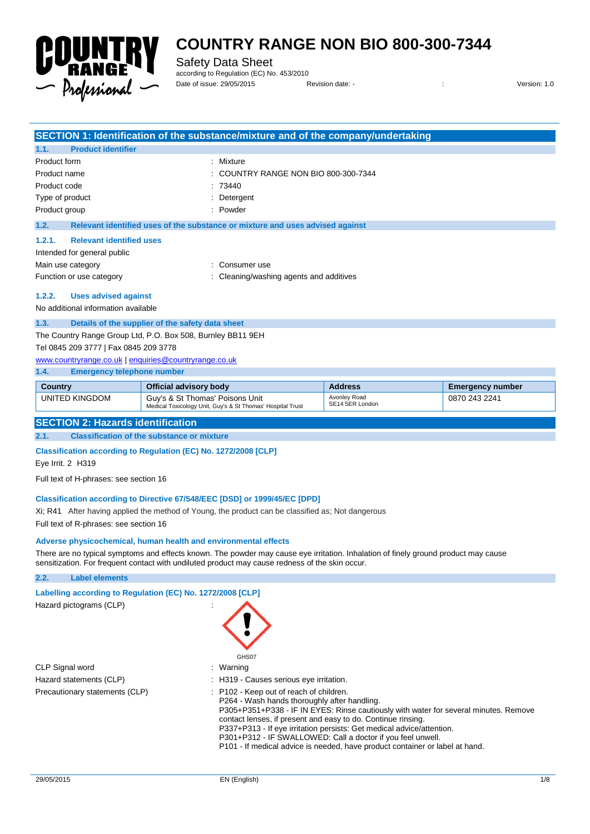

Safety Data Sheet

according to Regulation (EC) No. 453/2010 Date of issue: 29/05/2015 Revision date: - : Version: 1.0

|                                                             |                                                  | SECTION 1: Identification of the substance/mixture and of the company/undertaking |  |
|-------------------------------------------------------------|--------------------------------------------------|-----------------------------------------------------------------------------------|--|
| 1.1.                                                        | <b>Product identifier</b>                        |                                                                                   |  |
| Product form                                                |                                                  | : Mixture                                                                         |  |
| Product name                                                |                                                  | $\therefore$ COUNTRY RANGE NON BIO 800-300-7344                                   |  |
| Product code                                                |                                                  | :73440                                                                            |  |
| Type of product                                             |                                                  | Detergent                                                                         |  |
| Product group                                               |                                                  | : Powder                                                                          |  |
| 1.2.                                                        |                                                  | Relevant identified uses of the substance or mixture and uses advised against     |  |
| 1.2.1.                                                      | <b>Relevant identified uses</b>                  |                                                                                   |  |
|                                                             | Intended for general public                      |                                                                                   |  |
| Main use category                                           |                                                  | Consumer use                                                                      |  |
|                                                             | Function or use category                         | Cleaning/washing agents and additives                                             |  |
| 1.2.2.                                                      | <b>Uses advised against</b>                      |                                                                                   |  |
|                                                             | No additional information available              |                                                                                   |  |
| 1.3.                                                        | Details of the supplier of the safety data sheet |                                                                                   |  |
| The Country Range Group Ltd, P.O. Box 508, Burnley BB11 9EH |                                                  |                                                                                   |  |
| Tel 0845 209 3777   Fax 0845 209 3778                       |                                                  |                                                                                   |  |

Avonley Road SE14 5ER London

[www.countryrange.co.uk](http://www.countryrange.co.uk/) [| enquiries@countryrange.co.uk](mailto:enquiries@countryrange.co.uk)

**1.4. Emergency telephone number Country Country Channel Country Country Country Country Country Address <b>Emergency number** UNITED KINGDOM Guy's & St Thomas' Poisons Unit

Medical Toxicology Unit, Guy's & St Thomas' Hospital Trust

0870 243 2241

#### **SECTION 2: Hazards identification**

**2.1. Classification of the substance or mixture**

#### **Classification according to Regulation (EC) No. 1272/2008 [CLP]**

Eye Irrit. 2 H319

Full text of H-phrases: see section 16

#### **Classification according to Directive 67/548/EEC [DSD] or 1999/45/EC [DPD]**

Xi; R41 After having applied the method of Young, the product can be classified as; Not dangerous

Full text of R-phrases: see section 16

#### **Adverse physicochemical, human health and environmental effects**

There are no typical symptoms and effects known. The powder may cause eye irritation. Inhalation of finely ground product may cause sensitization. For frequent contact with undiluted product may cause redness of the skin occur.

#### **2.2. Label elements**

| Labelling according to Regulation (EC) No. 1272/2008 [CLP] |                                                                                                                                                                                                                                                                                                                                                                                                                                                                         |
|------------------------------------------------------------|-------------------------------------------------------------------------------------------------------------------------------------------------------------------------------------------------------------------------------------------------------------------------------------------------------------------------------------------------------------------------------------------------------------------------------------------------------------------------|
| Hazard pictograms (CLP)                                    | GHS07                                                                                                                                                                                                                                                                                                                                                                                                                                                                   |
| CLP Signal word                                            | : Warning                                                                                                                                                                                                                                                                                                                                                                                                                                                               |
| Hazard statements (CLP)                                    | : H319 - Causes serious eye irritation.                                                                                                                                                                                                                                                                                                                                                                                                                                 |
| Precautionary statements (CLP)                             | : P102 - Keep out of reach of children.<br>P264 - Wash hands thoroughly after handling.<br>P305+P351+P338 - IF IN EYES: Rinse cautiously with water for several minutes. Remove<br>contact lenses, if present and easy to do. Continue rinsing.<br>P337+P313 - If eye irritation persists: Get medical advice/attention.<br>P301+P312 - IF SWALLOWED: Call a doctor if you feel unwell.<br>P101 - If medical advice is needed, have product container or label at hand. |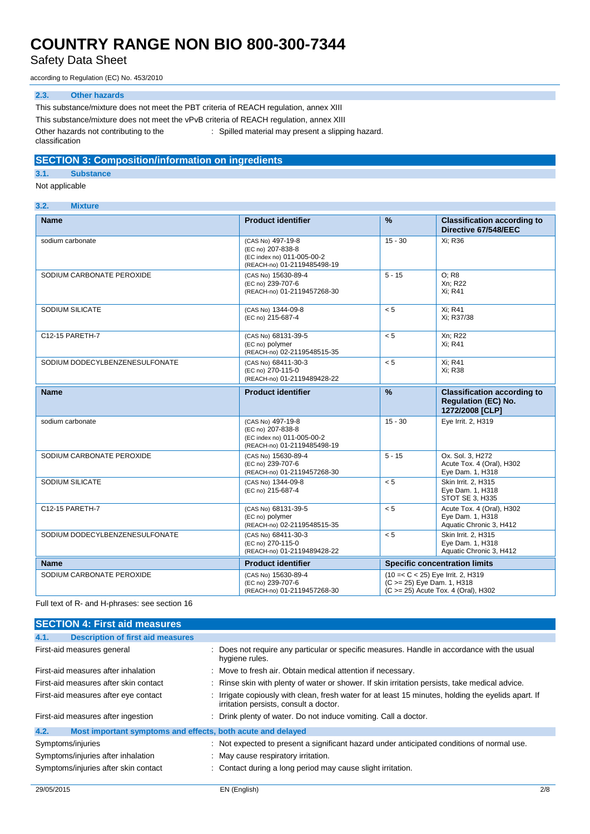Safety Data Sheet

according to Regulation (EC) No. 453/2010

#### **2.3. Other hazards**

This substance/mixture does not meet the PBT criteria of REACH regulation, annex XIII This substance/mixture does not meet the vPvB criteria of REACH regulation, annex XIII Other hazards not contributing to the classification : Spilled material may present a slipping hazard.

### **SECTION 3: Composition/information on ingredients**

**3.1. Substance**

#### Not applicable

| 3.2.<br><b>Mixture</b> |
|------------------------|
|------------------------|

| <b>Name</b>                    | <b>Product identifier</b>                                                                           | %                          | <b>Classification according to</b><br>Directive 67/548/EEC                          |
|--------------------------------|-----------------------------------------------------------------------------------------------------|----------------------------|-------------------------------------------------------------------------------------|
| sodium carbonate               | (CAS No) 497-19-8<br>(EC no) 207-838-8<br>(EC index no) 011-005-00-2<br>(REACH-no) 01-2119485498-19 | $15 - 30$                  | Xi: R36                                                                             |
| SODIUM CARBONATE PEROXIDE      | (CAS No) 15630-89-4<br>(EC no) 239-707-6<br>(REACH-no) 01-2119457268-30                             | $5 - 15$                   | O: R8<br>Xn: R22<br>Xi; R41                                                         |
| SODIUM SILICATE                | (CAS No) 1344-09-8<br>(EC no) 215-687-4                                                             | < 5                        | Xi: R41<br>Xi; R37/38                                                               |
| C12-15 PARETH-7                | (CAS No) 68131-39-5<br>(EC no) polymer<br>(REACH-no) 02-2119548515-35                               | < 5                        | Xn; R22<br>Xi; R41                                                                  |
| SODIUM DODECYLBENZENESULFONATE | (CAS No) 68411-30-3<br>(EC no) 270-115-0<br>(REACH-no) 01-2119489428-22                             | < 5                        | Xi; R41<br>Xi: R38                                                                  |
| <b>Name</b>                    | <b>Product identifier</b>                                                                           | $\frac{9}{6}$              | <b>Classification according to</b><br><b>Regulation (EC) No.</b><br>1272/2008 [CLP] |
| sodium carbonate               | (CAS No) 497-19-8<br>(EC no) 207-838-8<br>(EC index no) 011-005-00-2<br>(REACH-no) 01-2119485498-19 | $15 - 30$                  | Eye Irrit. 2, H319                                                                  |
| SODIUM CARBONATE PEROXIDE      | (CAS No) 15630-89-4<br>(EC no) 239-707-6<br>(REACH-no) 01-2119457268-30                             | $5 - 15$                   | Ox. Sol. 3, H272<br>Acute Tox. 4 (Oral), H302<br>Eye Dam. 1, H318                   |
| SODIUM SILICATE                | (CAS No) 1344-09-8<br>(EC no) 215-687-4                                                             | < 5                        | Skin Irrit. 2. H315<br>Eye Dam. 1, H318<br>STOT SE 3, H335                          |
| C12-15 PARETH-7                | (CAS No) 68131-39-5<br>(EC no) polymer<br>(REACH-no) 02-2119548515-35                               | < 5                        | Acute Tox. 4 (Oral), H302<br>Eve Dam. 1. H318<br>Aquatic Chronic 3, H412            |
| SODIUM DODECYLBENZENESULFONATE | (CAS No) 68411-30-3<br>(EC no) 270-115-0<br>(REACH-no) 01-2119489428-22                             | < 5                        | Skin Irrit. 2, H315<br>Eye Dam. 1, H318<br>Aquatic Chronic 3, H412                  |
| <b>Name</b>                    | <b>Product identifier</b>                                                                           |                            | <b>Specific concentration limits</b>                                                |
| SODIUM CARBONATE PEROXIDE      | (CAS No) 15630-89-4<br>(EC no) 239-707-6<br>(REACH-no) 01-2119457268-30                             | (C >= 25) Eye Dam. 1, H318 | (10 = < C < 25) Eye Irrit. 2, H319<br>(C >= 25) Acute Tox. 4 (Oral), H302           |

Full text of R- and H-phrases: see section 16

| <b>SECTION 4: First aid measures</b>                                |                                                                                                                                             |  |
|---------------------------------------------------------------------|---------------------------------------------------------------------------------------------------------------------------------------------|--|
| <b>Description of first aid measures</b><br>4.1.                    |                                                                                                                                             |  |
| First-aid measures general                                          | : Does not require any particular or specific measures. Handle in accordance with the usual<br>hygiene rules.                               |  |
| First-aid measures after inhalation                                 | : Move to fresh air. Obtain medical attention if necessary.                                                                                 |  |
| First-aid measures after skin contact                               | : Rinse skin with plenty of water or shower. If skin irritation persists, take medical advice.                                              |  |
| First-aid measures after eye contact                                | Irrigate copiously with clean, fresh water for at least 15 minutes, holding the eyelids apart. If<br>irritation persists, consult a doctor. |  |
| First-aid measures after ingestion                                  | : Drink plenty of water. Do not induce vomiting. Call a doctor.                                                                             |  |
| Most important symptoms and effects, both acute and delayed<br>4.2. |                                                                                                                                             |  |
| Symptoms/injuries                                                   | : Not expected to present a significant hazard under anticipated conditions of normal use.                                                  |  |
| Symptoms/injuries after inhalation                                  | : May cause respiratory irritation.                                                                                                         |  |
| Symptoms/injuries after skin contact                                | : Contact during a long period may cause slight irritation.                                                                                 |  |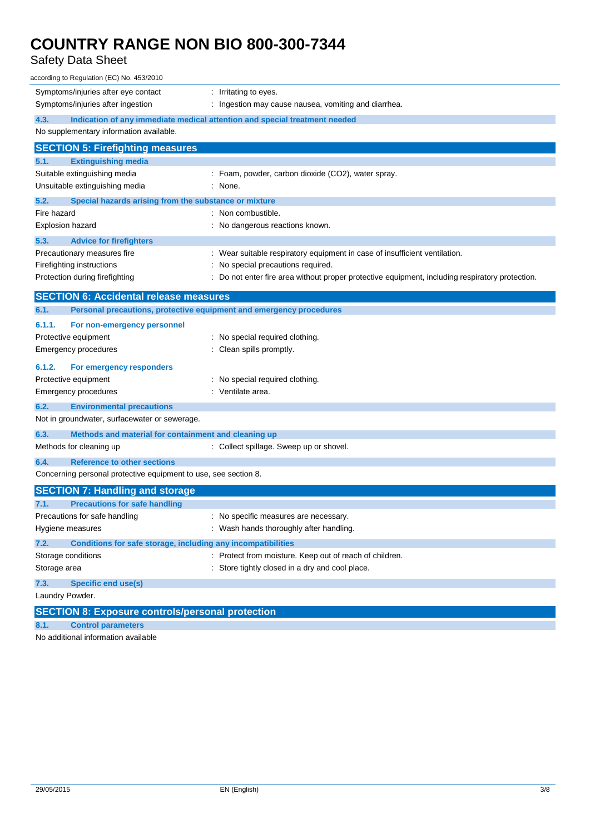## Safety Data Sheet

| according to Regulation (EC) No. 453/2010                                          |                                                                                               |  |  |  |  |
|------------------------------------------------------------------------------------|-----------------------------------------------------------------------------------------------|--|--|--|--|
| Symptoms/injuries after eye contact                                                | : Irritating to eyes.                                                                         |  |  |  |  |
| Symptoms/injuries after ingestion                                                  | Ingestion may cause nausea, vomiting and diarrhea.                                            |  |  |  |  |
| 4.3.<br>Indication of any immediate medical attention and special treatment needed |                                                                                               |  |  |  |  |
| No supplementary information available.                                            |                                                                                               |  |  |  |  |
| <b>SECTION 5: Firefighting measures</b>                                            |                                                                                               |  |  |  |  |
| 5.1.<br><b>Extinguishing media</b>                                                 |                                                                                               |  |  |  |  |
| Suitable extinguishing media                                                       | : Foam, powder, carbon dioxide (CO2), water spray.                                            |  |  |  |  |
| Unsuitable extinguishing media                                                     | : None.                                                                                       |  |  |  |  |
| 5.2.<br>Special hazards arising from the substance or mixture                      |                                                                                               |  |  |  |  |
| Fire hazard                                                                        | : Non combustible.                                                                            |  |  |  |  |
| <b>Explosion hazard</b>                                                            | : No dangerous reactions known.                                                               |  |  |  |  |
| 5.3.<br><b>Advice for firefighters</b>                                             |                                                                                               |  |  |  |  |
| Precautionary measures fire                                                        | : Wear suitable respiratory equipment in case of insufficient ventilation.                    |  |  |  |  |
| Firefighting instructions                                                          | : No special precautions required.                                                            |  |  |  |  |
| Protection during firefighting                                                     | Do not enter fire area without proper protective equipment, including respiratory protection. |  |  |  |  |
| <b>SECTION 6: Accidental release measures</b>                                      |                                                                                               |  |  |  |  |
| Personal precautions, protective equipment and emergency procedures<br>6.1.        |                                                                                               |  |  |  |  |
| 6.1.1.<br>For non-emergency personnel                                              |                                                                                               |  |  |  |  |
| Protective equipment                                                               | : No special required clothing.                                                               |  |  |  |  |
| Emergency procedures                                                               | Clean spills promptly.                                                                        |  |  |  |  |
| 6.1.2.<br>For emergency responders                                                 |                                                                                               |  |  |  |  |
| Protective equipment                                                               | : No special required clothing.                                                               |  |  |  |  |
| <b>Emergency procedures</b>                                                        | : Ventilate area.                                                                             |  |  |  |  |
| 6.2.<br><b>Environmental precautions</b>                                           |                                                                                               |  |  |  |  |
| Not in groundwater, surfacewater or sewerage.                                      |                                                                                               |  |  |  |  |
| 6.3.<br>Methods and material for containment and cleaning up                       |                                                                                               |  |  |  |  |
| Methods for cleaning up                                                            | : Collect spillage. Sweep up or shovel.                                                       |  |  |  |  |
| 6.4.<br><b>Reference to other sections</b>                                         |                                                                                               |  |  |  |  |
| Concerning personal protective equipment to use, see section 8.                    |                                                                                               |  |  |  |  |
| <b>SECTION 7: Handling and storage</b>                                             |                                                                                               |  |  |  |  |
| 7.1.<br><b>Precautions for safe handling</b>                                       |                                                                                               |  |  |  |  |
| Precautions for safe handling                                                      | No specific measures are necessary.                                                           |  |  |  |  |
| Hygiene measures                                                                   | : Wash hands thoroughly after handling.                                                       |  |  |  |  |
| 7.2.<br>Conditions for safe storage, including any incompatibilities               |                                                                                               |  |  |  |  |
| Storage conditions                                                                 | : Protect from moisture. Keep out of reach of children.                                       |  |  |  |  |
| Storage area                                                                       | : Store tightly closed in a dry and cool place.                                               |  |  |  |  |
| 7.3.<br><b>Specific end use(s)</b>                                                 |                                                                                               |  |  |  |  |
| Laundry Powder.                                                                    |                                                                                               |  |  |  |  |
| <b>SECTION 8: Exposure controls/personal protection</b>                            |                                                                                               |  |  |  |  |
| 8.1.<br><b>Control parameters</b>                                                  |                                                                                               |  |  |  |  |
|                                                                                    |                                                                                               |  |  |  |  |

No additional information available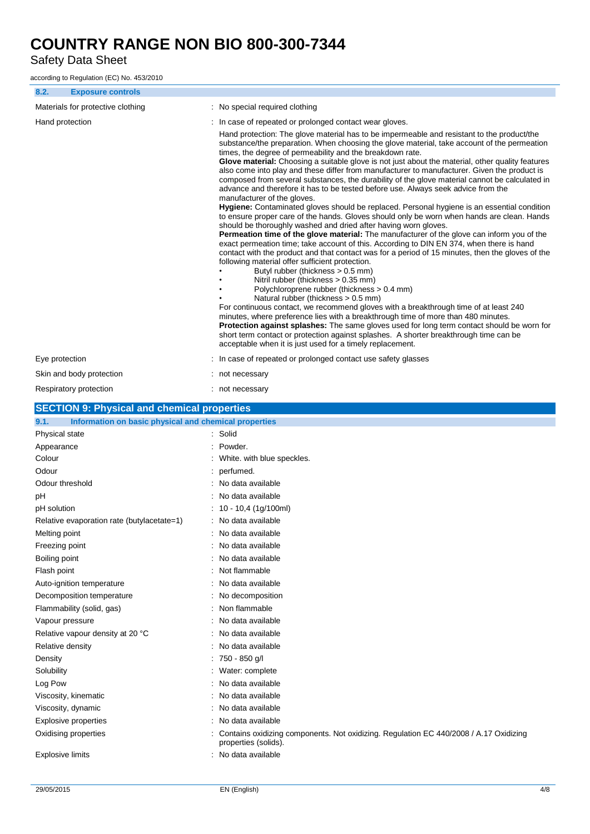Safety Data Sheet

according to Regulation (EC) No. 453/2010

|                                   | <b>Exposure controls</b>                              |  |                                                                                                                                                                                                                                                                                                                                                                                                                                                                                                                                                                                                                                                                                                                                                                                                                                                                                                                                                                                                                                                                                                                                                                                                                                                                                                                                                                                                                                                                                                                                                                                                                                                                                                                                                                                                                                                                                                                                                                      |  |  |
|-----------------------------------|-------------------------------------------------------|--|----------------------------------------------------------------------------------------------------------------------------------------------------------------------------------------------------------------------------------------------------------------------------------------------------------------------------------------------------------------------------------------------------------------------------------------------------------------------------------------------------------------------------------------------------------------------------------------------------------------------------------------------------------------------------------------------------------------------------------------------------------------------------------------------------------------------------------------------------------------------------------------------------------------------------------------------------------------------------------------------------------------------------------------------------------------------------------------------------------------------------------------------------------------------------------------------------------------------------------------------------------------------------------------------------------------------------------------------------------------------------------------------------------------------------------------------------------------------------------------------------------------------------------------------------------------------------------------------------------------------------------------------------------------------------------------------------------------------------------------------------------------------------------------------------------------------------------------------------------------------------------------------------------------------------------------------------------------------|--|--|
| Materials for protective clothing |                                                       |  | : No special required clothing                                                                                                                                                                                                                                                                                                                                                                                                                                                                                                                                                                                                                                                                                                                                                                                                                                                                                                                                                                                                                                                                                                                                                                                                                                                                                                                                                                                                                                                                                                                                                                                                                                                                                                                                                                                                                                                                                                                                       |  |  |
| Hand protection                   |                                                       |  | In case of repeated or prolonged contact wear gloves.<br>Hand protection: The glove material has to be impermeable and resistant to the product/the<br>substance/the preparation. When choosing the glove material, take account of the permeation<br>times, the degree of permeability and the breakdown rate.<br>Glove material: Choosing a suitable glove is not just about the material, other quality features<br>also come into play and these differ from manufacturer to manufacturer. Given the product is<br>composed from several substances, the durability of the glove material cannot be calculated in<br>advance and therefore it has to be tested before use. Always seek advice from the<br>manufacturer of the gloves.<br>Hygiene: Contaminated gloves should be replaced. Personal hygiene is an essential condition<br>to ensure proper care of the hands. Gloves should only be worn when hands are clean. Hands<br>should be thoroughly washed and dried after having worn gloves.<br><b>Permeation time of the glove material:</b> The manufacturer of the glove can inform you of the<br>exact permeation time; take account of this. According to DIN EN 374, when there is hand<br>contact with the product and that contact was for a period of 15 minutes, then the gloves of the<br>following material offer sufficient protection.<br>Butyl rubber (thickness > 0.5 mm)<br>Nitril rubber (thickness > 0.35 mm)<br>Polychloroprene rubber (thickness > 0.4 mm)<br>Natural rubber (thickness > 0.5 mm)<br>For continuous contact, we recommend gloves with a breakthrough time of at least 240<br>minutes, where preference lies with a breakthrough time of more than 480 minutes.<br>Protection against splashes: The same gloves used for long term contact should be worn for<br>short term contact or protection against splashes. A shorter breakthrough time can be<br>acceptable when it is just used for a timely replacement. |  |  |
| Eye protection                    |                                                       |  | : In case of repeated or prolonged contact use safety glasses                                                                                                                                                                                                                                                                                                                                                                                                                                                                                                                                                                                                                                                                                                                                                                                                                                                                                                                                                                                                                                                                                                                                                                                                                                                                                                                                                                                                                                                                                                                                                                                                                                                                                                                                                                                                                                                                                                        |  |  |
|                                   | Skin and body protection                              |  | : not necessary                                                                                                                                                                                                                                                                                                                                                                                                                                                                                                                                                                                                                                                                                                                                                                                                                                                                                                                                                                                                                                                                                                                                                                                                                                                                                                                                                                                                                                                                                                                                                                                                                                                                                                                                                                                                                                                                                                                                                      |  |  |
|                                   | Respiratory protection                                |  | : not necessary                                                                                                                                                                                                                                                                                                                                                                                                                                                                                                                                                                                                                                                                                                                                                                                                                                                                                                                                                                                                                                                                                                                                                                                                                                                                                                                                                                                                                                                                                                                                                                                                                                                                                                                                                                                                                                                                                                                                                      |  |  |
| 9.1.                              | <b>SECTION 9: Physical and chemical properties</b>    |  |                                                                                                                                                                                                                                                                                                                                                                                                                                                                                                                                                                                                                                                                                                                                                                                                                                                                                                                                                                                                                                                                                                                                                                                                                                                                                                                                                                                                                                                                                                                                                                                                                                                                                                                                                                                                                                                                                                                                                                      |  |  |
| Physical state                    | Information on basic physical and chemical properties |  | : Solid                                                                                                                                                                                                                                                                                                                                                                                                                                                                                                                                                                                                                                                                                                                                                                                                                                                                                                                                                                                                                                                                                                                                                                                                                                                                                                                                                                                                                                                                                                                                                                                                                                                                                                                                                                                                                                                                                                                                                              |  |  |
| Appearance                        |                                                       |  | Powder.                                                                                                                                                                                                                                                                                                                                                                                                                                                                                                                                                                                                                                                                                                                                                                                                                                                                                                                                                                                                                                                                                                                                                                                                                                                                                                                                                                                                                                                                                                                                                                                                                                                                                                                                                                                                                                                                                                                                                              |  |  |
| Colour                            |                                                       |  | White. with blue speckles.                                                                                                                                                                                                                                                                                                                                                                                                                                                                                                                                                                                                                                                                                                                                                                                                                                                                                                                                                                                                                                                                                                                                                                                                                                                                                                                                                                                                                                                                                                                                                                                                                                                                                                                                                                                                                                                                                                                                           |  |  |
| Odour                             |                                                       |  | perfumed.                                                                                                                                                                                                                                                                                                                                                                                                                                                                                                                                                                                                                                                                                                                                                                                                                                                                                                                                                                                                                                                                                                                                                                                                                                                                                                                                                                                                                                                                                                                                                                                                                                                                                                                                                                                                                                                                                                                                                            |  |  |
| Odour threshold                   |                                                       |  | : No data available                                                                                                                                                                                                                                                                                                                                                                                                                                                                                                                                                                                                                                                                                                                                                                                                                                                                                                                                                                                                                                                                                                                                                                                                                                                                                                                                                                                                                                                                                                                                                                                                                                                                                                                                                                                                                                                                                                                                                  |  |  |
| рH                                |                                                       |  |                                                                                                                                                                                                                                                                                                                                                                                                                                                                                                                                                                                                                                                                                                                                                                                                                                                                                                                                                                                                                                                                                                                                                                                                                                                                                                                                                                                                                                                                                                                                                                                                                                                                                                                                                                                                                                                                                                                                                                      |  |  |
| pH solution                       |                                                       |  | : No data available                                                                                                                                                                                                                                                                                                                                                                                                                                                                                                                                                                                                                                                                                                                                                                                                                                                                                                                                                                                                                                                                                                                                                                                                                                                                                                                                                                                                                                                                                                                                                                                                                                                                                                                                                                                                                                                                                                                                                  |  |  |
|                                   |                                                       |  | $: 10 - 10,4 (1g/100ml)$                                                                                                                                                                                                                                                                                                                                                                                                                                                                                                                                                                                                                                                                                                                                                                                                                                                                                                                                                                                                                                                                                                                                                                                                                                                                                                                                                                                                                                                                                                                                                                                                                                                                                                                                                                                                                                                                                                                                             |  |  |
|                                   | Relative evaporation rate (butylacetate=1)            |  | : No data available                                                                                                                                                                                                                                                                                                                                                                                                                                                                                                                                                                                                                                                                                                                                                                                                                                                                                                                                                                                                                                                                                                                                                                                                                                                                                                                                                                                                                                                                                                                                                                                                                                                                                                                                                                                                                                                                                                                                                  |  |  |
| Melting point                     |                                                       |  | : No data available                                                                                                                                                                                                                                                                                                                                                                                                                                                                                                                                                                                                                                                                                                                                                                                                                                                                                                                                                                                                                                                                                                                                                                                                                                                                                                                                                                                                                                                                                                                                                                                                                                                                                                                                                                                                                                                                                                                                                  |  |  |
| Freezing point                    |                                                       |  | No data available                                                                                                                                                                                                                                                                                                                                                                                                                                                                                                                                                                                                                                                                                                                                                                                                                                                                                                                                                                                                                                                                                                                                                                                                                                                                                                                                                                                                                                                                                                                                                                                                                                                                                                                                                                                                                                                                                                                                                    |  |  |
| Boiling point                     |                                                       |  | No data available                                                                                                                                                                                                                                                                                                                                                                                                                                                                                                                                                                                                                                                                                                                                                                                                                                                                                                                                                                                                                                                                                                                                                                                                                                                                                                                                                                                                                                                                                                                                                                                                                                                                                                                                                                                                                                                                                                                                                    |  |  |
| Flash point                       |                                                       |  | Not flammable                                                                                                                                                                                                                                                                                                                                                                                                                                                                                                                                                                                                                                                                                                                                                                                                                                                                                                                                                                                                                                                                                                                                                                                                                                                                                                                                                                                                                                                                                                                                                                                                                                                                                                                                                                                                                                                                                                                                                        |  |  |
|                                   | Auto-ignition temperature                             |  | No data available                                                                                                                                                                                                                                                                                                                                                                                                                                                                                                                                                                                                                                                                                                                                                                                                                                                                                                                                                                                                                                                                                                                                                                                                                                                                                                                                                                                                                                                                                                                                                                                                                                                                                                                                                                                                                                                                                                                                                    |  |  |
|                                   | Decomposition temperature                             |  | : No decomposition                                                                                                                                                                                                                                                                                                                                                                                                                                                                                                                                                                                                                                                                                                                                                                                                                                                                                                                                                                                                                                                                                                                                                                                                                                                                                                                                                                                                                                                                                                                                                                                                                                                                                                                                                                                                                                                                                                                                                   |  |  |
|                                   | Flammability (solid, gas)                             |  | Non flammable                                                                                                                                                                                                                                                                                                                                                                                                                                                                                                                                                                                                                                                                                                                                                                                                                                                                                                                                                                                                                                                                                                                                                                                                                                                                                                                                                                                                                                                                                                                                                                                                                                                                                                                                                                                                                                                                                                                                                        |  |  |
| Vapour pressure                   |                                                       |  | No data available                                                                                                                                                                                                                                                                                                                                                                                                                                                                                                                                                                                                                                                                                                                                                                                                                                                                                                                                                                                                                                                                                                                                                                                                                                                                                                                                                                                                                                                                                                                                                                                                                                                                                                                                                                                                                                                                                                                                                    |  |  |
|                                   | Relative vapour density at 20 °C                      |  | No data available                                                                                                                                                                                                                                                                                                                                                                                                                                                                                                                                                                                                                                                                                                                                                                                                                                                                                                                                                                                                                                                                                                                                                                                                                                                                                                                                                                                                                                                                                                                                                                                                                                                                                                                                                                                                                                                                                                                                                    |  |  |
| Relative density                  |                                                       |  | No data available                                                                                                                                                                                                                                                                                                                                                                                                                                                                                                                                                                                                                                                                                                                                                                                                                                                                                                                                                                                                                                                                                                                                                                                                                                                                                                                                                                                                                                                                                                                                                                                                                                                                                                                                                                                                                                                                                                                                                    |  |  |
| Density                           |                                                       |  | 750 - 850 g/l                                                                                                                                                                                                                                                                                                                                                                                                                                                                                                                                                                                                                                                                                                                                                                                                                                                                                                                                                                                                                                                                                                                                                                                                                                                                                                                                                                                                                                                                                                                                                                                                                                                                                                                                                                                                                                                                                                                                                        |  |  |
| Solubility                        |                                                       |  | Water: complete                                                                                                                                                                                                                                                                                                                                                                                                                                                                                                                                                                                                                                                                                                                                                                                                                                                                                                                                                                                                                                                                                                                                                                                                                                                                                                                                                                                                                                                                                                                                                                                                                                                                                                                                                                                                                                                                                                                                                      |  |  |
| Log Pow                           |                                                       |  | No data available                                                                                                                                                                                                                                                                                                                                                                                                                                                                                                                                                                                                                                                                                                                                                                                                                                                                                                                                                                                                                                                                                                                                                                                                                                                                                                                                                                                                                                                                                                                                                                                                                                                                                                                                                                                                                                                                                                                                                    |  |  |
| Viscosity, kinematic              |                                                       |  | No data available                                                                                                                                                                                                                                                                                                                                                                                                                                                                                                                                                                                                                                                                                                                                                                                                                                                                                                                                                                                                                                                                                                                                                                                                                                                                                                                                                                                                                                                                                                                                                                                                                                                                                                                                                                                                                                                                                                                                                    |  |  |
| Viscosity, dynamic                |                                                       |  | No data available                                                                                                                                                                                                                                                                                                                                                                                                                                                                                                                                                                                                                                                                                                                                                                                                                                                                                                                                                                                                                                                                                                                                                                                                                                                                                                                                                                                                                                                                                                                                                                                                                                                                                                                                                                                                                                                                                                                                                    |  |  |
|                                   | <b>Explosive properties</b>                           |  | No data available                                                                                                                                                                                                                                                                                                                                                                                                                                                                                                                                                                                                                                                                                                                                                                                                                                                                                                                                                                                                                                                                                                                                                                                                                                                                                                                                                                                                                                                                                                                                                                                                                                                                                                                                                                                                                                                                                                                                                    |  |  |
| Oxidising properties              |                                                       |  | Contains oxidizing components. Not oxidizing. Regulation EC 440/2008 / A.17 Oxidizing<br>properties (solids).                                                                                                                                                                                                                                                                                                                                                                                                                                                                                                                                                                                                                                                                                                                                                                                                                                                                                                                                                                                                                                                                                                                                                                                                                                                                                                                                                                                                                                                                                                                                                                                                                                                                                                                                                                                                                                                        |  |  |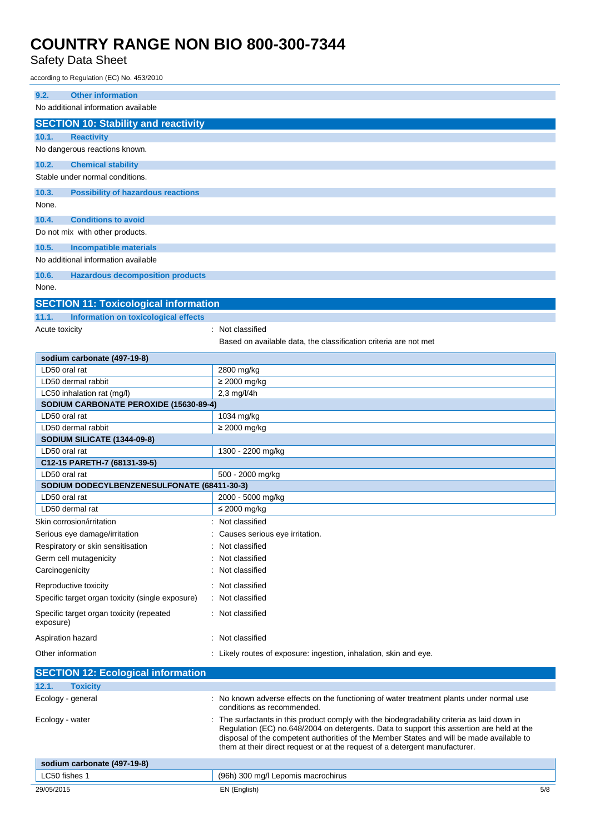### Safety Data Sheet

according to Regulation (EC) No. 453/2010

| <b>Other information</b><br>9.2.                      |                                                                                                                                                                                                                                                                                                                                                                   |  |  |  |
|-------------------------------------------------------|-------------------------------------------------------------------------------------------------------------------------------------------------------------------------------------------------------------------------------------------------------------------------------------------------------------------------------------------------------------------|--|--|--|
| No additional information available                   |                                                                                                                                                                                                                                                                                                                                                                   |  |  |  |
| <b>SECTION 10: Stability and reactivity</b>           |                                                                                                                                                                                                                                                                                                                                                                   |  |  |  |
| 10.1.<br><b>Reactivity</b>                            |                                                                                                                                                                                                                                                                                                                                                                   |  |  |  |
| No dangerous reactions known.                         |                                                                                                                                                                                                                                                                                                                                                                   |  |  |  |
| 10.2.<br><b>Chemical stability</b>                    |                                                                                                                                                                                                                                                                                                                                                                   |  |  |  |
| Stable under normal conditions.                       |                                                                                                                                                                                                                                                                                                                                                                   |  |  |  |
| <b>Possibility of hazardous reactions</b><br>10.3.    |                                                                                                                                                                                                                                                                                                                                                                   |  |  |  |
| None.                                                 |                                                                                                                                                                                                                                                                                                                                                                   |  |  |  |
| <b>Conditions to avoid</b><br>10.4.                   |                                                                                                                                                                                                                                                                                                                                                                   |  |  |  |
| Do not mix with other products.                       |                                                                                                                                                                                                                                                                                                                                                                   |  |  |  |
|                                                       |                                                                                                                                                                                                                                                                                                                                                                   |  |  |  |
| 10.5.<br><b>Incompatible materials</b>                |                                                                                                                                                                                                                                                                                                                                                                   |  |  |  |
| No additional information available                   |                                                                                                                                                                                                                                                                                                                                                                   |  |  |  |
| <b>Hazardous decomposition products</b><br>10.6.      |                                                                                                                                                                                                                                                                                                                                                                   |  |  |  |
| None.                                                 |                                                                                                                                                                                                                                                                                                                                                                   |  |  |  |
| <b>SECTION 11: Toxicological information</b>          |                                                                                                                                                                                                                                                                                                                                                                   |  |  |  |
| 11.1.<br>Information on toxicological effects         |                                                                                                                                                                                                                                                                                                                                                                   |  |  |  |
| Acute toxicity                                        | : Not classified                                                                                                                                                                                                                                                                                                                                                  |  |  |  |
|                                                       | Based on available data, the classification criteria are not met                                                                                                                                                                                                                                                                                                  |  |  |  |
| sodium carbonate (497-19-8)                           |                                                                                                                                                                                                                                                                                                                                                                   |  |  |  |
| LD50 oral rat                                         | 2800 mg/kg                                                                                                                                                                                                                                                                                                                                                        |  |  |  |
| LD50 dermal rabbit                                    | $\geq$ 2000 mg/kg                                                                                                                                                                                                                                                                                                                                                 |  |  |  |
| LC50 inhalation rat (mg/l)                            | 2,3 mg/l/4h                                                                                                                                                                                                                                                                                                                                                       |  |  |  |
| SODIUM CARBONATE PEROXIDE (15630-89-4)                |                                                                                                                                                                                                                                                                                                                                                                   |  |  |  |
| LD50 oral rat<br>LD50 dermal rabbit                   | 1034 mg/kg<br>$\geq$ 2000 mg/kg                                                                                                                                                                                                                                                                                                                                   |  |  |  |
| SODIUM SILICATE (1344-09-8)                           |                                                                                                                                                                                                                                                                                                                                                                   |  |  |  |
| LD50 oral rat                                         | 1300 - 2200 mg/kg                                                                                                                                                                                                                                                                                                                                                 |  |  |  |
| C12-15 PARETH-7 (68131-39-5)                          |                                                                                                                                                                                                                                                                                                                                                                   |  |  |  |
| LD50 oral rat                                         | 500 - 2000 mg/kg                                                                                                                                                                                                                                                                                                                                                  |  |  |  |
| SODIUM DODECYLBENZENESULFONATE (68411-30-3)           |                                                                                                                                                                                                                                                                                                                                                                   |  |  |  |
| LD50 oral rat                                         | 2000 - 5000 mg/kg                                                                                                                                                                                                                                                                                                                                                 |  |  |  |
| LD50 dermal rat                                       | $\leq$ 2000 mg/kg                                                                                                                                                                                                                                                                                                                                                 |  |  |  |
| Skin corrosion/irritation                             | : Not classified                                                                                                                                                                                                                                                                                                                                                  |  |  |  |
| Serious eye damage/irritation                         | Causes serious eye irritation.                                                                                                                                                                                                                                                                                                                                    |  |  |  |
| Respiratory or skin sensitisation                     | Not classified                                                                                                                                                                                                                                                                                                                                                    |  |  |  |
| Germ cell mutagenicity                                | Not classified                                                                                                                                                                                                                                                                                                                                                    |  |  |  |
| Carcinogenicity                                       | Not classified                                                                                                                                                                                                                                                                                                                                                    |  |  |  |
| Reproductive toxicity                                 | Not classified                                                                                                                                                                                                                                                                                                                                                    |  |  |  |
| Specific target organ toxicity (single exposure)      | Not classified                                                                                                                                                                                                                                                                                                                                                    |  |  |  |
| Specific target organ toxicity (repeated<br>exposure) | : Not classified                                                                                                                                                                                                                                                                                                                                                  |  |  |  |
| Aspiration hazard                                     | : Not classified                                                                                                                                                                                                                                                                                                                                                  |  |  |  |
| Other information                                     | Likely routes of exposure: ingestion, inhalation, skin and eye.                                                                                                                                                                                                                                                                                                   |  |  |  |
| <b>SECTION 12: Ecological information</b>             |                                                                                                                                                                                                                                                                                                                                                                   |  |  |  |
| 12.1.<br><b>Toxicity</b>                              |                                                                                                                                                                                                                                                                                                                                                                   |  |  |  |
| Ecology - general                                     | No known adverse effects on the functioning of water treatment plants under normal use<br>conditions as recommended.                                                                                                                                                                                                                                              |  |  |  |
| Ecology - water                                       | The surfactants in this product comply with the biodegradability criteria as laid down in<br>Regulation (EC) no.648/2004 on detergents. Data to support this assertion are held at the<br>disposal of the competent authorities of the Member States and will be made available to<br>them at their direct request or at the request of a detergent manufacturer. |  |  |  |
| sodium carbonate (497-19-8)                           |                                                                                                                                                                                                                                                                                                                                                                   |  |  |  |
| LC50 fishes 1                                         | (96h) 300 mg/l Lepomis macrochirus                                                                                                                                                                                                                                                                                                                                |  |  |  |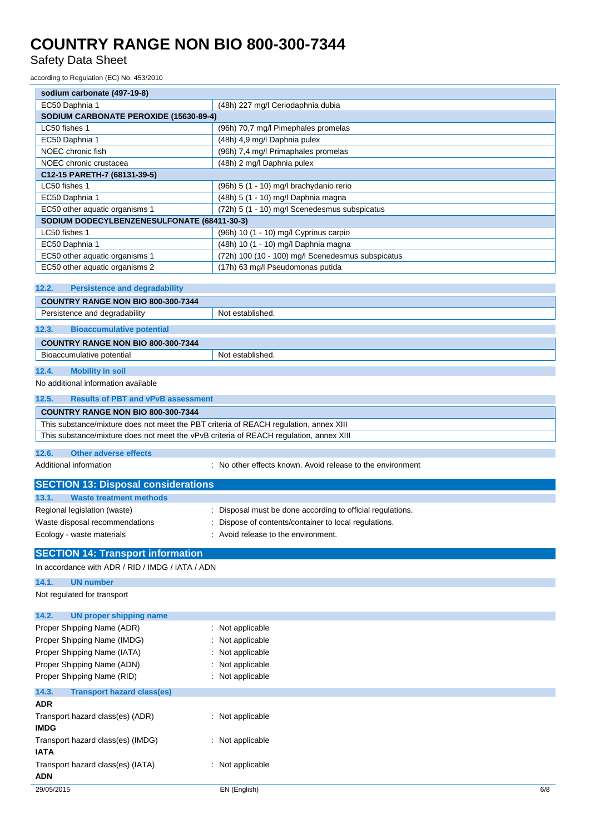Safety Data Sheet

according to Regulation (EC) No. 453/2010

| sodium carbonate (497-19-8)                                                     |                                                   |  |  |
|---------------------------------------------------------------------------------|---------------------------------------------------|--|--|
| EC50 Daphnia 1<br>(48h) 227 mg/l Ceriodaphnia dubia                             |                                                   |  |  |
| SODIUM CARBONATE PEROXIDE (15630-89-4)                                          |                                                   |  |  |
| LC50 fishes 1                                                                   | (96h) 70,7 mg/l Pimephales promelas               |  |  |
| EC50 Daphnia 1                                                                  | (48h) 4,9 mg/l Daphnia pulex                      |  |  |
| NOEC chronic fish<br>(96h) 7,4 mg/l Primaphales promelas                        |                                                   |  |  |
| NOEC chronic crustacea                                                          | (48h) 2 mg/l Daphnia pulex                        |  |  |
| C12-15 PARETH-7 (68131-39-5)                                                    |                                                   |  |  |
| LC50 fishes 1                                                                   | (96h) 5 (1 - 10) mg/l brachydanio rerio           |  |  |
| EC50 Daphnia 1                                                                  | (48h) 5 (1 - 10) mg/l Daphnia magna               |  |  |
| EC50 other aquatic organisms 1<br>(72h) 5 (1 - 10) mg/l Scenedesmus subspicatus |                                                   |  |  |
| SODIUM DODECYLBENZENESULFONATE (68411-30-3)                                     |                                                   |  |  |
| LC50 fishes 1                                                                   | (96h) 10 (1 - 10) mg/l Cyprinus carpio            |  |  |
| EC50 Daphnia 1                                                                  | (48h) 10 (1 - 10) mg/l Daphnia magna              |  |  |
| EC50 other aquatic organisms 1                                                  | (72h) 100 (10 - 100) mg/l Scenedesmus subspicatus |  |  |
| EC50 other aquatic organisms 2                                                  | (17h) 63 mg/l Pseudomonas putida                  |  |  |
|                                                                                 |                                                   |  |  |
| 12.2.<br><b>Persistence and degradability</b>                                   |                                                   |  |  |
| COUNTRY RANGE NON BIO 800-300-7344                                              |                                                   |  |  |
| Persistence and degradability                                                   | Not established.                                  |  |  |
| <b>Bioaccumulative potential</b><br>12.3.                                       |                                                   |  |  |
| COUNTRY RANGE NON BIO 800-300-7344                                              |                                                   |  |  |
| Not established.<br>Bioaccumulative potential                                   |                                                   |  |  |

### **12.4. Mobility in soil**

No additional information available

| 12.5. | <b>Results of PBT and vPvB assessment</b>                                              |
|-------|----------------------------------------------------------------------------------------|
|       |                                                                                        |
|       | <b>COUNTRY RANGE NON BIO 800-300-7344</b>                                              |
|       | This substance/mixture does not meet the PBT criteria of REACH regulation, annex XIII  |
|       | This substance/mixture does not meet the vPvB criteria of REACH regulation, annex XIII |
|       |                                                                                        |
| 12.6. | Other adverse effects                                                                  |

Additional information **interest and the environment** : No other effects known. Avoid release to the environment

| <b>SECTION 13: Disposal considerations</b> |                                                            |  |  |
|--------------------------------------------|------------------------------------------------------------|--|--|
| 13.1.<br><b>Waste treatment methods</b>    |                                                            |  |  |
| Regional legislation (waste)               | : Disposal must be done according to official regulations. |  |  |
| Waste disposal recommendations             | : Dispose of contents/container to local regulations.      |  |  |
| Ecology - waste materials                  | : Avoid release to the environment.                        |  |  |
| <b>SECTION 14. Transport information</b>   |                                                            |  |  |

### **SECTION 14: Transport information**

| In accordance with ADR / RID / IMDG / IATA / ADN |                  |     |
|--------------------------------------------------|------------------|-----|
| 14.1.<br><b>UN number</b>                        |                  |     |
| Not regulated for transport                      |                  |     |
| <b>UN proper shipping name</b><br>14.2.          |                  |     |
| Proper Shipping Name (ADR)                       | : Not applicable |     |
| Proper Shipping Name (IMDG)                      | : Not applicable |     |
| Proper Shipping Name (IATA)                      | : Not applicable |     |
| Proper Shipping Name (ADN)                       | : Not applicable |     |
| Proper Shipping Name (RID)                       | : Not applicable |     |
| 14.3.<br><b>Transport hazard class(es)</b>       |                  |     |
| <b>ADR</b>                                       |                  |     |
| Transport hazard class(es) (ADR)                 | : Not applicable |     |
| <b>IMDG</b>                                      |                  |     |
| Transport hazard class(es) (IMDG)                | : Not applicable |     |
| <b>IATA</b>                                      |                  |     |
| Transport hazard class(es) (IATA)                | : Not applicable |     |
| ADN                                              |                  |     |
| 29/05/2015                                       | EN (English)     | 6/8 |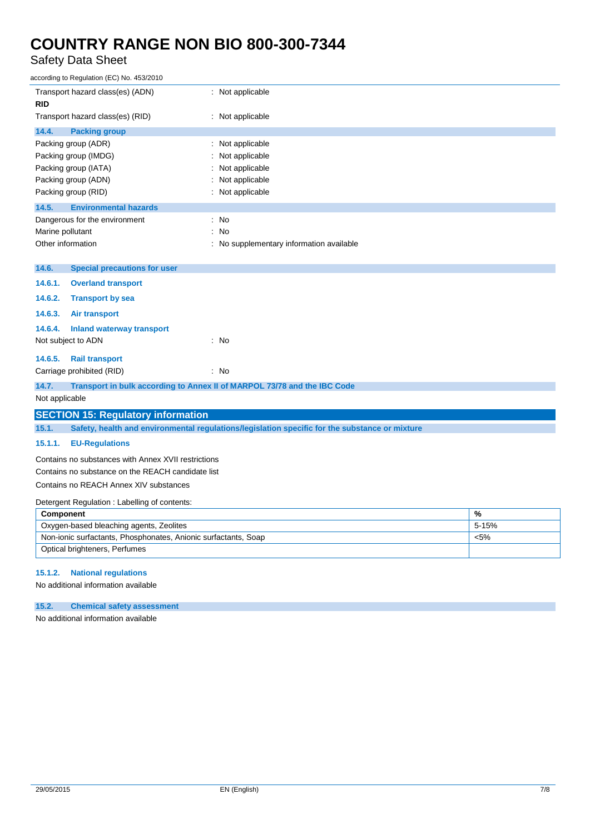## Safety Data Sheet

| according to Regulation (EC) No. 453/2010                                                               |                                          |       |
|---------------------------------------------------------------------------------------------------------|------------------------------------------|-------|
| Transport hazard class(es) (ADN)<br><b>RID</b>                                                          | : Not applicable                         |       |
| Transport hazard class(es) (RID)                                                                        | : Not applicable                         |       |
| 14.4.<br><b>Packing group</b>                                                                           |                                          |       |
| Packing group (ADR)                                                                                     | : Not applicable                         |       |
| Packing group (IMDG)                                                                                    | Not applicable                           |       |
| Packing group (IATA)<br>Packing group (ADN)                                                             | Not applicable<br>Not applicable         |       |
| Packing group (RID)                                                                                     | : Not applicable                         |       |
| 14.5.<br><b>Environmental hazards</b>                                                                   |                                          |       |
| Dangerous for the environment                                                                           | : No                                     |       |
| Marine pollutant                                                                                        | : No                                     |       |
| Other information                                                                                       | : No supplementary information available |       |
|                                                                                                         |                                          |       |
| <b>Special precautions for user</b><br>14.6.                                                            |                                          |       |
| 14.6.1.<br><b>Overland transport</b>                                                                    |                                          |       |
| 14.6.2.<br><b>Transport by sea</b>                                                                      |                                          |       |
| 14.6.3.<br>Air transport                                                                                |                                          |       |
| 14.6.4.<br><b>Inland waterway transport</b>                                                             |                                          |       |
| Not subject to ADN                                                                                      | : No                                     |       |
| 14.6.5.<br><b>Rail transport</b>                                                                        |                                          |       |
| Carriage prohibited (RID)                                                                               | : No                                     |       |
| 14.7.<br>Transport in bulk according to Annex II of MARPOL 73/78 and the IBC Code                       |                                          |       |
| Not applicable                                                                                          |                                          |       |
| <b>SECTION 15: Regulatory information</b>                                                               |                                          |       |
| 15.1.<br>Safety, health and environmental regulations/legislation specific for the substance or mixture |                                          |       |
| 15.1.1.<br><b>EU-Regulations</b>                                                                        |                                          |       |
| Contains no substances with Annex XVII restrictions                                                     |                                          |       |
| Contains no substance on the REACH candidate list                                                       |                                          |       |
| Contains no REACH Annex XIV substances                                                                  |                                          |       |
| Detergent Regulation: Labelling of contents:                                                            |                                          |       |
| %<br>Component                                                                                          |                                          |       |
| Oxygen-based bleaching agents, Zeolites                                                                 |                                          | 5-15% |
| Non-ionic surfactants, Phosphonates, Anionic surfactants, Soap<br>$< 5\%$                               |                                          |       |
| Optical brighteners, Perfumes                                                                           |                                          |       |
|                                                                                                         |                                          |       |

### **15.1.2. National regulations**

No additional information available

### **15.2. Chemical safety assessment**

No additional information available